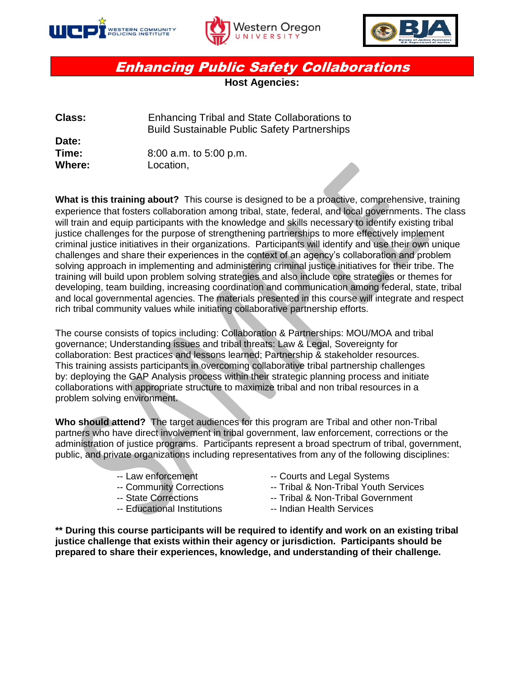





## Enhancing Public Safety Collaborations

**Host Agencies:** 

| <b>Class:</b> | Enhancing Tribal and State Collaborations to        |
|---------------|-----------------------------------------------------|
|               | <b>Build Sustainable Public Safety Partnerships</b> |
| Date:         |                                                     |
| Time:         | $8:00$ a.m. to $5:00$ p.m.                          |
| Where:        | Location,                                           |

**What is this training about?** This course is designed to be a proactive, comprehensive, training experience that fosters collaboration among tribal, state, federal, and local governments. The class will train and equip participants with the knowledge and skills necessary to identify existing tribal justice challenges for the purpose of strengthening partnerships to more effectively implement criminal justice initiatives in their organizations. Participants will identify and use their own unique challenges and share their experiences in the context of an agency's collaboration and problem solving approach in implementing and administering criminal justice initiatives for their tribe. The training will build upon problem solving strategies and also include core strategies or themes for developing, team building, increasing coordination and communication among federal, state, tribal and local governmental agencies. The materials presented in this course will integrate and respect rich tribal community values while initiating collaborative partnership efforts.

The course consists of topics including: Collaboration & Partnerships: MOU/MOA and tribal governance; Understanding issues and tribal threats: Law & Legal, Sovereignty for collaboration: Best practices and lessons learned; Partnership & stakeholder resources. This training assists participants in overcoming collaborative tribal partnership challenges by: deploying the GAP Analysis process within their strategic planning process and initiate collaborations with appropriate structure to maximize tribal and non tribal resources in a problem solving environment.

**Who should attend?** The target audiences for this program are Tribal and other non-Tribal partners who have direct involvement in tribal government, law enforcement, corrections or the administration of justice programs. Participants represent a broad spectrum of tribal, government, public, and private organizations including representatives from any of the following disciplines:

- 
- 
- 
- -- Educational Institutions -- Indian Health Services
- -- Law enforcement -- Courts and Legal Systems
- -- Community Corrections -- Tribal & Non-Tribal Youth Services
- -- State Corrections -- Tribal & Non-Tribal Government
	-

**\*\* During this course participants will be required to identify and work on an existing tribal justice challenge that exists within their agency or jurisdiction. Participants should be prepared to share their experiences, knowledge, and understanding of their challenge.**